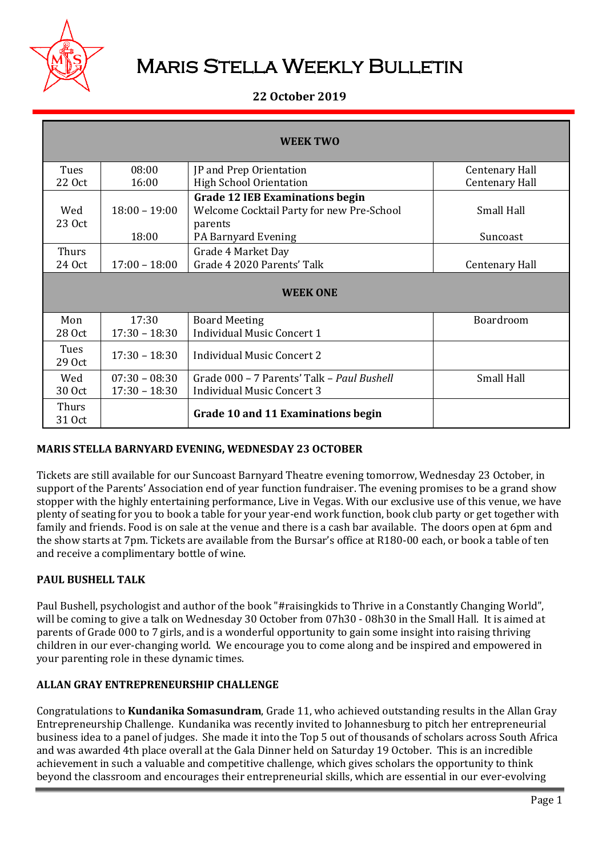

# Maris Stella Weekly Bulletin

# **22 October 2019**

| <b>WEEK TWO</b> |                          |                                                                                                                       |                               |  |  |
|-----------------|--------------------------|-----------------------------------------------------------------------------------------------------------------------|-------------------------------|--|--|
| Tues            | 08:00                    | JP and Prep Orientation                                                                                               | <b>Centenary Hall</b>         |  |  |
| 22 Oct          | 16:00                    | <b>High School Orientation</b>                                                                                        | <b>Centenary Hall</b>         |  |  |
| Wed<br>23 Oct   | $18:00 - 19:00$<br>18:00 | <b>Grade 12 IEB Examinations begin</b><br>Welcome Cocktail Party for new Pre-School<br>parents<br>PA Barnyard Evening | <b>Small Hall</b><br>Suncoast |  |  |
| Thurs<br>24 Oct | $17:00 - 18:00$          | Grade 4 Market Day<br>Grade 4 2020 Parents' Talk                                                                      | Centenary Hall                |  |  |
| <b>WEEK ONE</b> |                          |                                                                                                                       |                               |  |  |
| Mon<br>28 Oct   | 17:30<br>$17:30 - 18:30$ | <b>Board Meeting</b><br><b>Individual Music Concert 1</b>                                                             | Boardroom                     |  |  |
| Tues<br>29 Oct  | $17:30 - 18:30$          | Individual Music Concert 2                                                                                            |                               |  |  |
| Wed             | $07:30 - 08:30$          | Grade 000 – 7 Parents' Talk – Paul Bushell                                                                            | Small Hall                    |  |  |
| 30 Oct          | $17:30 - 18:30$          | <b>Individual Music Concert 3</b>                                                                                     |                               |  |  |
| Thurs<br>31 Oct |                          | Grade 10 and 11 Examinations begin                                                                                    |                               |  |  |

# **MARIS STELLA BARNYARD EVENING, WEDNESDAY 23 OCTOBER**

Tickets are still available for our Suncoast Barnyard Theatre evening tomorrow, Wednesday 23 October, in support of the Parents' Association end of year function fundraiser. The evening promises to be a grand show stopper with the highly entertaining performance, Live in Vegas. With our exclusive use of this venue, we have plenty of seating for you to book a table for your year-end work function, book club party or get together with family and friends. Food is on sale at the venue and there is a cash bar available. The doors open at 6pm and the show starts at 7pm. Tickets are available from the Bursar's office at R180-00 each, or book a table of ten and receive a complimentary bottle of wine.

# **PAUL BUSHELL TALK**

Paul Bushell, psychologist and author of the book "#raisingkids to Thrive in a Constantly Changing World", will be coming to give a talk on Wednesday 30 October from 07h30 - 08h30 in the Small Hall. It is aimed at parents of Grade 000 to 7 girls, and is a wonderful opportunity to gain some insight into raising thriving children in our ever-changing world. We encourage you to come along and be inspired and empowered in your parenting role in these dynamic times.

## **ALLAN GRAY ENTREPRENEURSHIP CHALLENGE**

Congratulations to **Kundanika Somasundram**, Grade 11, who achieved outstanding results in the Allan Gray Entrepreneurship Challenge. Kundanika was recently invited to Johannesburg to pitch her entrepreneurial business idea to a panel of judges. She made it into the Top 5 out of thousands of scholars across South Africa and was awarded 4th place overall at the Gala Dinner held on Saturday 19 October. This is an incredible achievement in such a valuable and competitive challenge, which gives scholars the opportunity to think beyond the classroom and encourages their entrepreneurial skills, which are essential in our ever-evolving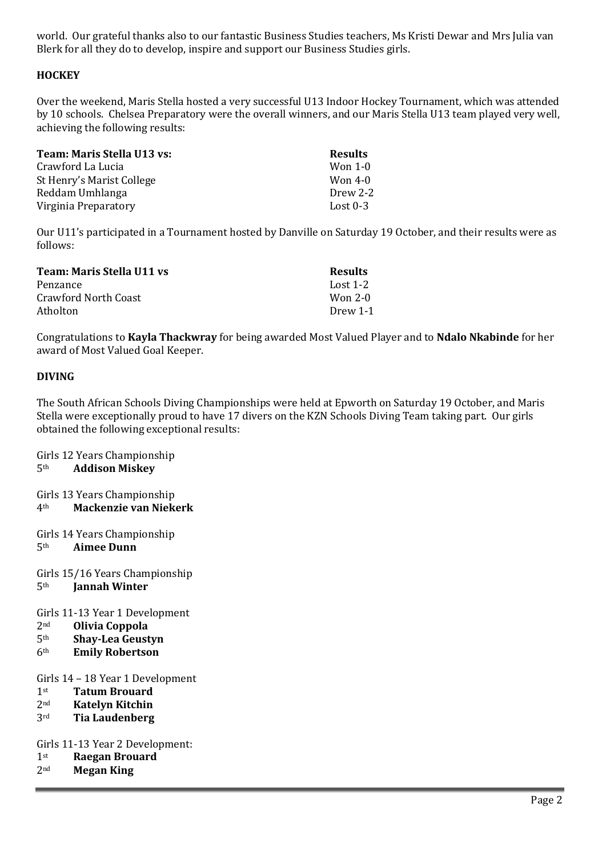world. Our grateful thanks also to our fantastic Business Studies teachers, Ms Kristi Dewar and Mrs Julia van Blerk for all they do to develop, inspire and support our Business Studies girls.

# **HOCKEY**

Over the weekend, Maris Stella hosted a very successful U13 Indoor Hockey Tournament, which was attended by 10 schools. Chelsea Preparatory were the overall winners, and our Maris Stella U13 team played very well, achieving the following results:

| Team: Maris Stella U13 vs: | <b>Results</b> |
|----------------------------|----------------|
| Crawford La Lucia          | Won 1-0        |
| St Henry's Marist College  | Won 4-0        |
| Reddam Umhlanga            | Drew 2-2       |
| Virginia Preparatory       | Lost $0-3$     |

Our U11's participated in a Tournament hosted by Danville on Saturday 19 October, and their results were as follows:

| Team: Maris Stella U11 vs | <b>Results</b> |
|---------------------------|----------------|
| Penzance                  | Lost 1-2       |
| Crawford North Coast      | Won 2-0        |
| Atholton                  | Drew 1-1       |

Congratulations to **Kayla Thackwray** for being awarded Most Valued Player and to **Ndalo Nkabinde** for her award of Most Valued Goal Keeper.

## **DIVING**

The South African Schools Diving Championships were held at Epworth on Saturday 19 October, and Maris Stella were exceptionally proud to have 17 divers on the KZN Schools Diving Team taking part. Our girls obtained the following exceptional results:

Girls 12 Years Championship 5th **Addison Miskey**

Girls 13 Years Championship 4th **Mackenzie van Niekerk**

- Girls 14 Years Championship 5th **Aimee Dunn**
- Girls 15/16 Years Championship 5th **Jannah Winter**

Girls 11-13 Year 1 Development

- 2nd **Olivia Coppola**
- 5th **Shay-Lea Geustyn**
- 6th **Emily Robertson**

#### Girls 14 – 18 Year 1 Development

- 1st **Tatum Brouard**
- 2nd **Katelyn Kitchin**
- 3rd **Tia Laudenberg**

Girls 11-13 Year 2 Development:

- 1st **Raegan Brouard**
- 2nd **Megan King**